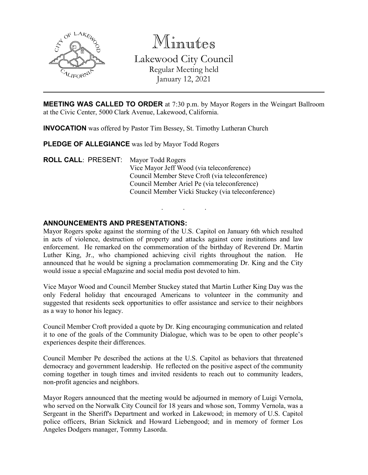

Minutes Lakewood City Council Regular Meeting held January 12, 2021

**MEETING WAS CALLED TO ORDER** at 7:30 p.m. by Mayor Rogers in the Weingart Ballroom at the Civic Center, 5000 Clark Avenue, Lakewood, California.

**INVOCATION** was offered by Pastor Tim Bessey, St. Timothy Lutheran Church

**PLEDGE OF ALLEGIANCE** was led by Mayor Todd Rogers

**ROLL CALL**: PRESENT: Mayor Todd Rogers Vice Mayor Jeff Wood (via teleconference) Council Member Steve Croft (via teleconference) Council Member Ariel Pe (via teleconference) Council Member Vicki Stuckey (via teleconference)

## **ANNOUNCEMENTS AND PRESENTATIONS:**

Mayor Rogers spoke against the storming of the U.S. Capitol on January 6th which resulted in acts of violence, destruction of property and attacks against core institutions and law enforcement. He remarked on the commemoration of the birthday of Reverend Dr. Martin Luther King, Jr., who championed achieving civil rights throughout the nation. announced that he would be signing a proclamation commemorating Dr. King and the City would issue a special eMagazine and social media post devoted to him.

. . .

Vice Mayor Wood and Council Member Stuckey stated that Martin Luther King Day was the only Federal holiday that encouraged Americans to volunteer in the community and suggested that residents seek opportunities to offer assistance and service to their neighbors as a way to honor his legacy.

Council Member Croft provided a quote by Dr. King encouraging communication and related it to one of the goals of the Community Dialogue, which was to be open to other people's experiences despite their differences.

Council Member Pe described the actions at the U.S. Capitol as behaviors that threatened democracy and government leadership. He reflected on the positive aspect of the community coming together in tough times and invited residents to reach out to community leaders, non-profit agencies and neighbors.

Mayor Rogers announced that the meeting would be adjourned in memory of Luigi Vernola, who served on the Norwalk City Council for 18 years and whose son, Tommy Vernola, was a Sergeant in the Sheriff's Department and worked in Lakewood; in memory of U.S. Capitol police officers, Brian Sicknick and Howard Liebengood; and in memory of former Los Angeles Dodgers manager, Tommy Lasorda.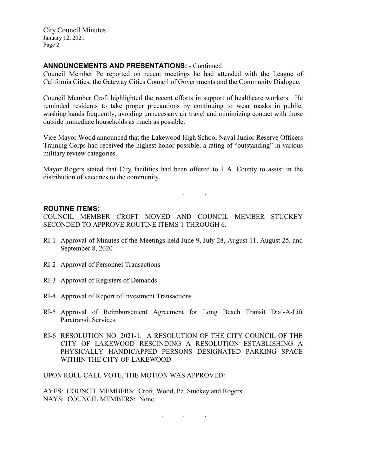City Council Minutes January 12, 2021 Page 2

# **ANNOUNCEMENTS AND PRESENTATIONS:** - Continued

Council Member Pe reported on recent meetings he had attended with the League of California Cities, the Gateway Cities Council of Governments and the Community Dialogue.

Council Member Croft highlighted the recent efforts in support of healthcare workers. He reminded residents to take proper precautions by continuing to wear masks in public, washing hands frequently, avoiding unnecessary air travel and minimizing contact with those outside immediate households as much as possible.

Vice Mayor Wood announced that the Lakewood High School Naval Junior Reserve Officers Training Corps had received the highest honor possible, a rating of "outstanding" in various military review categories.

Mayor Rogers stated that City facilities had been offered to L.A. County to assist in the distribution of vaccines to the community.

. .

### **ROUTINE ITEMS:**

COUNCIL MEMBER CROFT MOVED AND COUNCIL MEMBER STUCKEY SECONDED TO APPROVE ROUTINE ITEMS 1 THROUGH 6.

- RI-1 Approval of Minutes of the Meetings held June 9, July 28, August 11, August 25, and September 8, 2020
- RI-2 Approval of Personnel Transactions
- RI-3 Approval of Registers of Demands
- RI-4 Approval of Report of Investment Transactions
- RI-5 Approval of Reimbursement Agreement for Long Beach Transit Dial-A-Lift Paratransit Services
- RI-6 RESOLUTION NO. 2021-1; A RESOLUTION OF THE CITY COUNCIL OF THE CITY OF LAKEWOOD RESCINDING A RESOLUTION ESTABLISHING A PHYSICALLY HANDICAPPED PERSONS DESIGNATED PARKING SPACE WITHIN THE CITY OF LAKEWOOD

. . .

UPON ROLL CALL VOTE, THE MOTION WAS APPROVED:

AYES: COUNCIL MEMBERS: Croft, Wood, Pe, Stuckey and Rogers NAYS: COUNCIL MEMBERS: None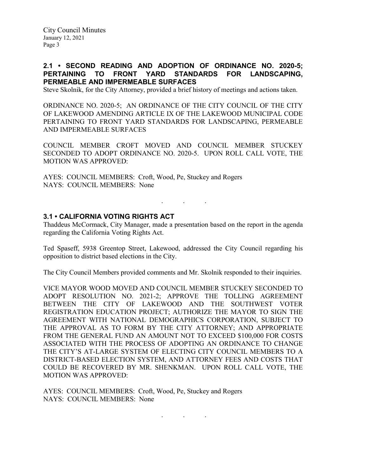City Council Minutes January 12, 2021 Page 3

## **2.1 • SECOND READING AND ADOPTION OF ORDINANCE NO. 2020-5; PERTAINING TO FRONT YARD STANDARDS FOR LANDSCAPING, PERMEABLE AND IMPERMEABLE SURFACES**

Steve Skolnik, for the City Attorney, provided a brief history of meetings and actions taken.

ORDINANCE NO. 2020-5; AN ORDINANCE OF THE CITY COUNCIL OF THE CITY OF LAKEWOOD AMENDING ARTICLE IX OF THE LAKEWOOD MUNICIPAL CODE PERTAINING TO FRONT YARD STANDARDS FOR LANDSCAPING, PERMEABLE AND IMPERMEABLE SURFACES

COUNCIL MEMBER CROFT MOVED AND COUNCIL MEMBER STUCKEY SECONDED TO ADOPT ORDINANCE NO. 2020-5. UPON ROLL CALL VOTE, THE MOTION WAS APPROVED:

AYES: COUNCIL MEMBERS: Croft, Wood, Pe, Stuckey and Rogers NAYS: COUNCIL MEMBERS: None

### **3.1 • CALIFORNIA VOTING RIGHTS ACT**

Thaddeus McCormack, City Manager, made a presentation based on the report in the agenda regarding the California Voting Rights Act.

. . .

Ted Spaseff, 5938 Greentop Street, Lakewood, addressed the City Council regarding his opposition to district based elections in the City.

The City Council Members provided comments and Mr. Skolnik responded to their inquiries.

VICE MAYOR WOOD MOVED AND COUNCIL MEMBER STUCKEY SECONDED TO ADOPT RESOLUTION NO. 2021-2; APPROVE THE TOLLING AGREEMENT BETWEEN THE CITY OF LAKEWOOD AND THE SOUTHWEST VOTER REGISTRATION EDUCATION PROJECT; AUTHORIZE THE MAYOR TO SIGN THE AGREEMENT WITH NATIONAL DEMOGRAPHICS CORPORATION, SUBJECT TO THE APPROVAL AS TO FORM BY THE CITY ATTORNEY; AND APPROPRIATE FROM THE GENERAL FUND AN AMOUNT NOT TO EXCEED \$100,000 FOR COSTS ASSOCIATED WITH THE PROCESS OF ADOPTING AN ORDINANCE TO CHANGE THE CITY'S AT-LARGE SYSTEM OF ELECTING CITY COUNCIL MEMBERS TO A DISTRICT-BASED ELECTION SYSTEM, AND ATTORNEY FEES AND COSTS THAT COULD BE RECOVERED BY MR. SHENKMAN. UPON ROLL CALL VOTE, THE MOTION WAS APPROVED:

. . .

AYES: COUNCIL MEMBERS: Croft, Wood, Pe, Stuckey and Rogers NAYS: COUNCIL MEMBERS: None